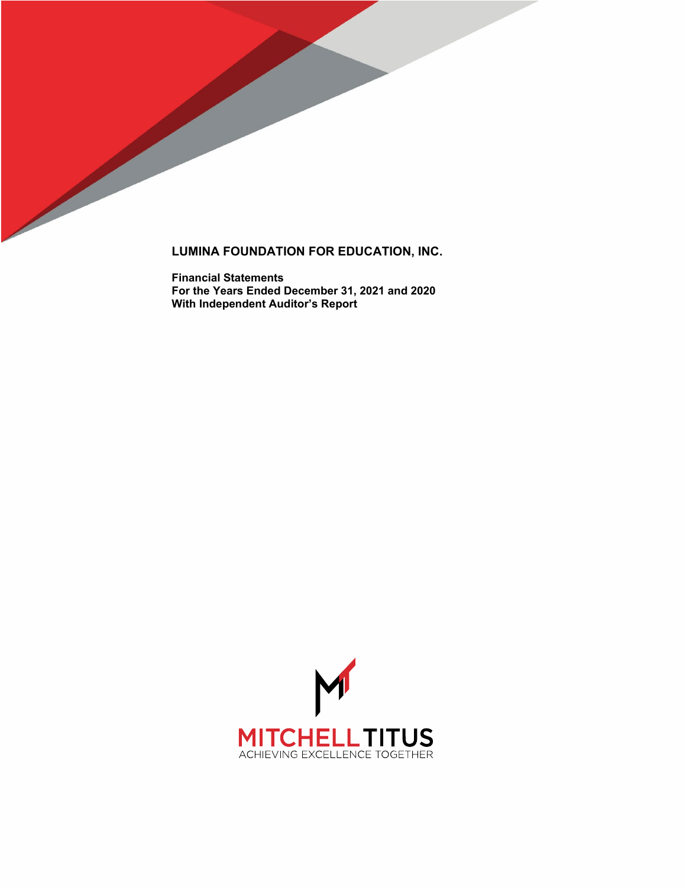

**Financial Statements For the Years Ended December 31, 2021 and 2020 With Independent Auditor's Report** 

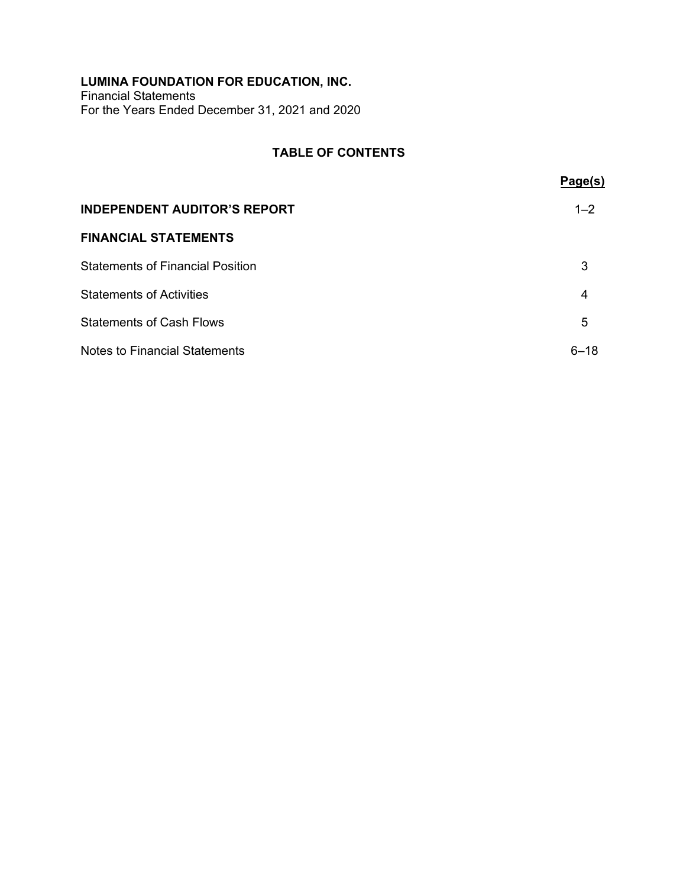Financial Statements For the Years Ended December 31, 2021 and 2020

# **TABLE OF CONTENTS**

|                                         | Page(s)  |
|-----------------------------------------|----------|
| <b>INDEPENDENT AUDITOR'S REPORT</b>     | $1 - 2$  |
| <b>FINANCIAL STATEMENTS</b>             |          |
| <b>Statements of Financial Position</b> | 3        |
| <b>Statements of Activities</b>         | 4        |
| <b>Statements of Cash Flows</b>         | 5        |
| <b>Notes to Financial Statements</b>    | $6 - 18$ |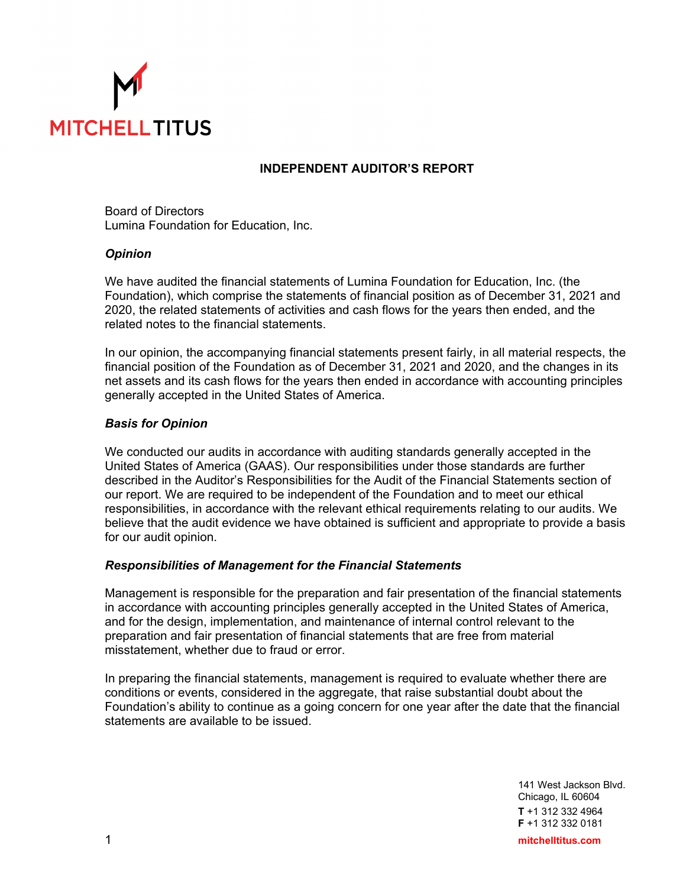

## **INDEPENDENT AUDITOR'S REPORT**

Board of Directors Lumina Foundation for Education, Inc.

#### *Opinion*

We have audited the financial statements of Lumina Foundation for Education, Inc. (the Foundation), which comprise the statements of financial position as of December 31, 2021 and 2020, the related statements of activities and cash flows for the years then ended, and the related notes to the financial statements.

In our opinion, the accompanying financial statements present fairly, in all material respects, the financial position of the Foundation as of December 31, 2021 and 2020, and the changes in its net assets and its cash flows for the years then ended in accordance with accounting principles generally accepted in the United States of America.

### *Basis for Opinion*

We conducted our audits in accordance with auditing standards generally accepted in the United States of America (GAAS). Our responsibilities under those standards are further described in the Auditor's Responsibilities for the Audit of the Financial Statements section of our report. We are required to be independent of the Foundation and to meet our ethical responsibilities, in accordance with the relevant ethical requirements relating to our audits. We believe that the audit evidence we have obtained is sufficient and appropriate to provide a basis for our audit opinion.

#### *Responsibilities of Management for the Financial Statements*

Management is responsible for the preparation and fair presentation of the financial statements in accordance with accounting principles generally accepted in the United States of America, and for the design, implementation, and maintenance of internal control relevant to the preparation and fair presentation of financial statements that are free from material misstatement, whether due to fraud or error.

In preparing the financial statements, management is required to evaluate whether there are conditions or events, considered in the aggregate, that raise substantial doubt about the Foundation's ability to continue as a going concern for one year after the date that the financial statements are available to be issued.

141 West Jackson Blvd. Chicago, IL 60604 **T** +1 312 332 4964 **F** +1 312 332 0181 1 **mitchelltitus.com**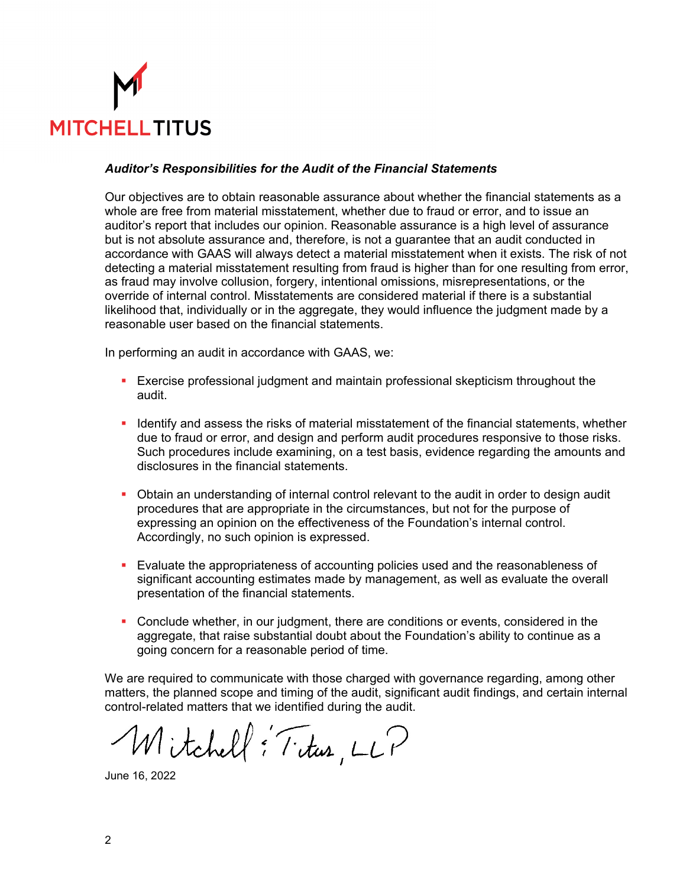

### *Auditor's Responsibilities for the Audit of the Financial Statements*

Our objectives are to obtain reasonable assurance about whether the financial statements as a whole are free from material misstatement, whether due to fraud or error, and to issue an auditor's report that includes our opinion. Reasonable assurance is a high level of assurance but is not absolute assurance and, therefore, is not a guarantee that an audit conducted in accordance with GAAS will always detect a material misstatement when it exists. The risk of not detecting a material misstatement resulting from fraud is higher than for one resulting from error, as fraud may involve collusion, forgery, intentional omissions, misrepresentations, or the override of internal control. Misstatements are considered material if there is a substantial likelihood that, individually or in the aggregate, they would influence the judgment made by a reasonable user based on the financial statements.

In performing an audit in accordance with GAAS, we:

- **EXELT** Exercise professional judgment and maintain professional skepticism throughout the audit.
- I dentify and assess the risks of material misstatement of the financial statements, whether due to fraud or error, and design and perform audit procedures responsive to those risks. Such procedures include examining, on a test basis, evidence regarding the amounts and disclosures in the financial statements.
- Obtain an understanding of internal control relevant to the audit in order to design audit procedures that are appropriate in the circumstances, but not for the purpose of expressing an opinion on the effectiveness of the Foundation's internal control. Accordingly, no such opinion is expressed.
- **Exaluate the appropriateness of accounting policies used and the reasonableness of** significant accounting estimates made by management, as well as evaluate the overall presentation of the financial statements.
- Conclude whether, in our judgment, there are conditions or events, considered in the aggregate, that raise substantial doubt about the Foundation's ability to continue as a going concern for a reasonable period of time.

We are required to communicate with those charged with governance regarding, among other matters, the planned scope and timing of the audit, significant audit findings, and certain internal control-related matters that we identified during the audit.

Mitchell: Titus, LLP

June 16, 2022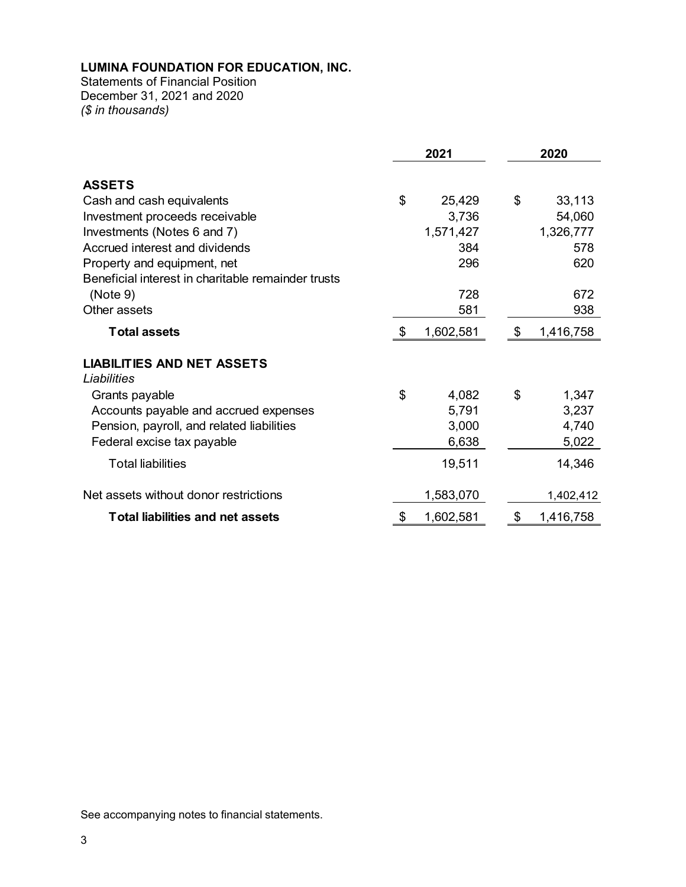Statements of Financial Position December 31, 2021 and 2020 *(\$ in thousands)*

|                                                    | 2021 |           |    | 2020      |  |  |
|----------------------------------------------------|------|-----------|----|-----------|--|--|
| <b>ASSETS</b>                                      |      |           |    |           |  |  |
| Cash and cash equivalents                          | \$   | 25,429    | \$ | 33,113    |  |  |
| Investment proceeds receivable                     |      | 3,736     |    | 54,060    |  |  |
| Investments (Notes 6 and 7)                        |      | 1,571,427 |    | 1,326,777 |  |  |
| Accrued interest and dividends                     |      | 384       |    | 578       |  |  |
| Property and equipment, net                        |      | 296       |    | 620       |  |  |
| Beneficial interest in charitable remainder trusts |      |           |    |           |  |  |
| (Note 9)                                           |      | 728       |    | 672       |  |  |
| Other assets                                       |      | 581       |    | 938       |  |  |
| <b>Total assets</b>                                | \$   | 1,602,581 | \$ | 1,416,758 |  |  |
| <b>LIABILITIES AND NET ASSETS</b>                  |      |           |    |           |  |  |
| Liabilities                                        |      |           |    |           |  |  |
| Grants payable                                     | \$   | 4,082     | \$ | 1,347     |  |  |
| Accounts payable and accrued expenses              |      | 5,791     |    | 3,237     |  |  |
| Pension, payroll, and related liabilities          |      | 3,000     |    | 4,740     |  |  |
| Federal excise tax payable                         |      | 6,638     |    | 5,022     |  |  |
| <b>Total liabilities</b>                           |      | 19,511    |    | 14,346    |  |  |
| Net assets without donor restrictions              |      | 1,583,070 |    | 1,402,412 |  |  |
| <b>Total liabilities and net assets</b>            | \$   | 1,602,581 | \$ | 1,416,758 |  |  |

See accompanying notes to financial statements.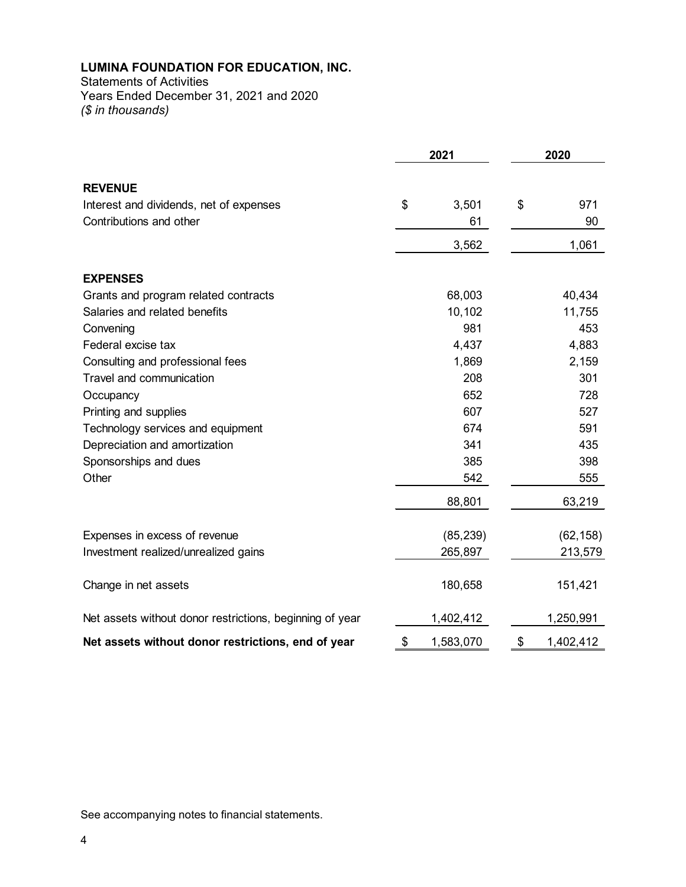Statements of Activities Years Ended December 31, 2021 and 2020 *(\$ in thousands)*

|                                                          | 2021            | 2020 |           |  |
|----------------------------------------------------------|-----------------|------|-----------|--|
| <b>REVENUE</b>                                           |                 |      |           |  |
| Interest and dividends, net of expenses                  | \$<br>3,501     | \$   | 971       |  |
| Contributions and other                                  | 61              |      | 90        |  |
|                                                          | 3,562           |      | 1,061     |  |
| <b>EXPENSES</b>                                          |                 |      |           |  |
| Grants and program related contracts                     | 68,003          |      | 40,434    |  |
| Salaries and related benefits                            | 10,102          |      | 11,755    |  |
| Convening                                                | 981             |      | 453       |  |
| Federal excise tax                                       | 4,437           |      | 4,883     |  |
| Consulting and professional fees                         | 1,869           |      | 2,159     |  |
| Travel and communication                                 | 208             |      | 301       |  |
| Occupancy                                                | 652             |      | 728       |  |
| Printing and supplies                                    | 607             |      | 527       |  |
| Technology services and equipment                        | 674             |      | 591       |  |
| Depreciation and amortization                            | 341             |      | 435       |  |
| Sponsorships and dues                                    | 385             |      | 398       |  |
| Other                                                    | 542             |      | 555       |  |
|                                                          | 88,801          |      | 63,219    |  |
| Expenses in excess of revenue                            | (85, 239)       |      | (62, 158) |  |
| Investment realized/unrealized gains                     | 265,897         |      | 213,579   |  |
| Change in net assets                                     | 180,658         |      | 151,421   |  |
| Net assets without donor restrictions, beginning of year | 1,402,412       |      | 1,250,991 |  |
| Net assets without donor restrictions, end of year       | \$<br>1,583,070 | \$   | 1,402,412 |  |

See accompanying notes to financial statements.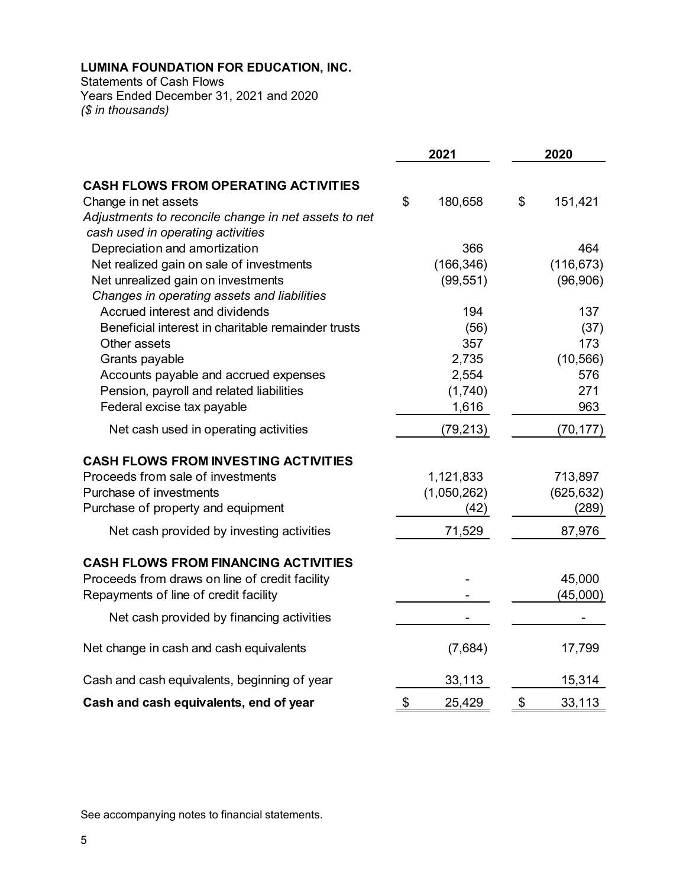Statements of Cash Flows Years Ended December 31, 2021 and 2020 *(\$ in thousands)*

|                                                                                           | 2021          | 2020          |  |  |
|-------------------------------------------------------------------------------------------|---------------|---------------|--|--|
| <b>CASH FLOWS FROM OPERATING ACTIVITIES</b>                                               |               |               |  |  |
| Change in net assets                                                                      | \$<br>180,658 | \$<br>151,421 |  |  |
| Adjustments to reconcile change in net assets to net<br>cash used in operating activities |               |               |  |  |
| Depreciation and amortization                                                             | 366           | 464           |  |  |
| Net realized gain on sale of investments                                                  | (166, 346)    | (116, 673)    |  |  |
| Net unrealized gain on investments                                                        | (99, 551)     | (96, 906)     |  |  |
| Changes in operating assets and liabilities                                               |               |               |  |  |
| Accrued interest and dividends                                                            | 194           | 137           |  |  |
| Beneficial interest in charitable remainder trusts                                        | (56)          | (37)          |  |  |
| Other assets                                                                              | 357           | 173           |  |  |
| Grants payable                                                                            | 2,735         | (10, 566)     |  |  |
| Accounts payable and accrued expenses                                                     | 2,554         | 576           |  |  |
| Pension, payroll and related liabilities                                                  | (1,740)       | 271           |  |  |
| Federal excise tax payable                                                                | 1,616         | 963           |  |  |
| Net cash used in operating activities                                                     | (79, 213)     | (70, 177)     |  |  |
| <b>CASH FLOWS FROM INVESTING ACTIVITIES</b>                                               |               |               |  |  |
| Proceeds from sale of investments                                                         | 1,121,833     | 713,897       |  |  |
| Purchase of investments                                                                   | (1,050,262)   | (625, 632)    |  |  |
| Purchase of property and equipment                                                        | (42)          | (289)         |  |  |
| Net cash provided by investing activities                                                 | 71,529        | 87,976        |  |  |
| <b>CASH FLOWS FROM FINANCING ACTIVITIES</b>                                               |               |               |  |  |
| Proceeds from draws on line of credit facility                                            |               | 45,000        |  |  |
| Repayments of line of credit facility                                                     |               | (45,000)      |  |  |
| Net cash provided by financing activities                                                 |               |               |  |  |
| Net change in cash and cash equivalents                                                   | (7,684)       | 17,799        |  |  |
| Cash and cash equivalents, beginning of year                                              | 33,113        | 15,314        |  |  |
| Cash and cash equivalents, end of year                                                    | \$<br>25,429  | \$<br>33,113  |  |  |

See accompanying notes to financial statements.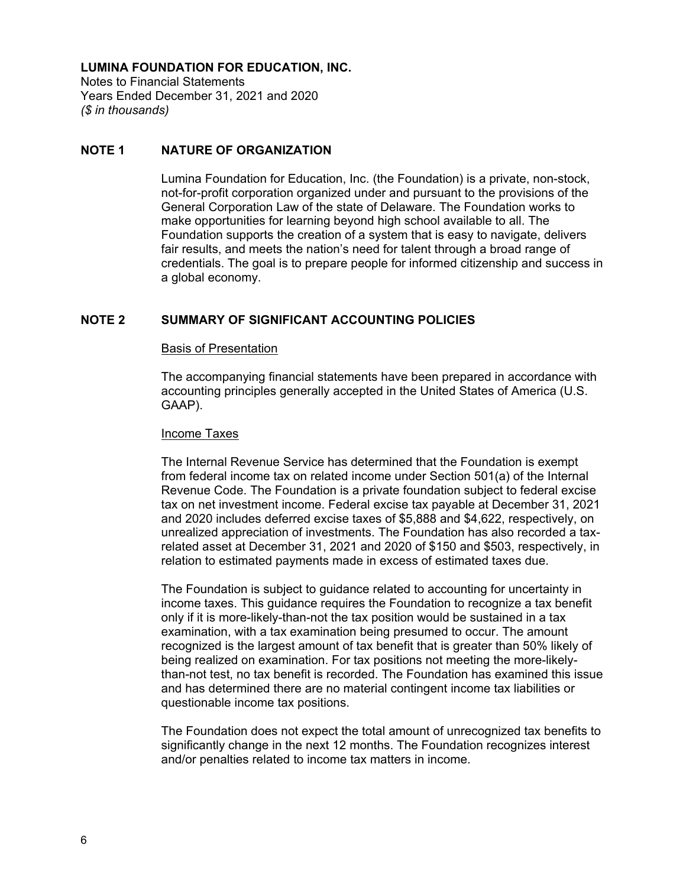Notes to Financial Statements Years Ended December 31, 2021 and 2020 *(\$ in thousands)*

### **NOTE 1 NATURE OF ORGANIZATION**

Lumina Foundation for Education, Inc. (the Foundation) is a private, non-stock, not-for-profit corporation organized under and pursuant to the provisions of the General Corporation Law of the state of Delaware. The Foundation works to make opportunities for learning beyond high school available to all. The Foundation supports the creation of a system that is easy to navigate, delivers fair results, and meets the nation's need for talent through a broad range of credentials. The goal is to prepare people for informed citizenship and success in a global economy.

### **NOTE 2 SUMMARY OF SIGNIFICANT ACCOUNTING POLICIES**

#### Basis of Presentation

The accompanying financial statements have been prepared in accordance with accounting principles generally accepted in the United States of America (U.S. GAAP).

### Income Taxes

The Internal Revenue Service has determined that the Foundation is exempt from federal income tax on related income under Section 501(a) of the Internal Revenue Code. The Foundation is a private foundation subject to federal excise tax on net investment income. Federal excise tax payable at December 31, 2021 and 2020 includes deferred excise taxes of \$5,888 and \$4,622, respectively, on unrealized appreciation of investments. The Foundation has also recorded a taxrelated asset at December 31, 2021 and 2020 of \$150 and \$503, respectively, in relation to estimated payments made in excess of estimated taxes due.

The Foundation is subject to guidance related to accounting for uncertainty in income taxes. This guidance requires the Foundation to recognize a tax benefit only if it is more-likely-than-not the tax position would be sustained in a tax examination, with a tax examination being presumed to occur. The amount recognized is the largest amount of tax benefit that is greater than 50% likely of being realized on examination. For tax positions not meeting the more-likelythan-not test, no tax benefit is recorded. The Foundation has examined this issue and has determined there are no material contingent income tax liabilities or questionable income tax positions.

The Foundation does not expect the total amount of unrecognized tax benefits to significantly change in the next 12 months. The Foundation recognizes interest and/or penalties related to income tax matters in income.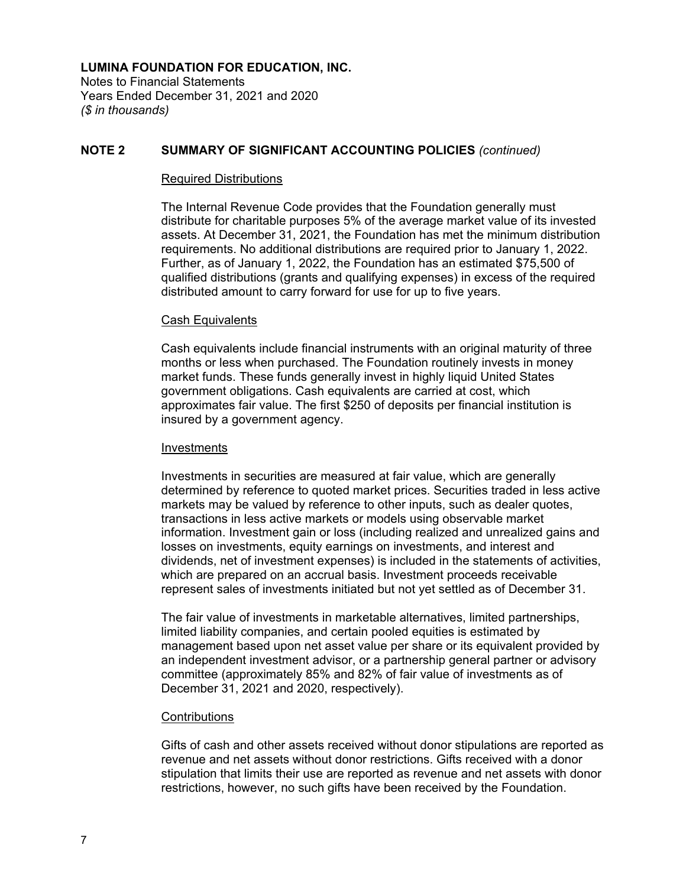Notes to Financial Statements Years Ended December 31, 2021 and 2020 *(\$ in thousands)*

### **NOTE 2 SUMMARY OF SIGNIFICANT ACCOUNTING POLICIES** *(continued)*

#### Required Distributions

The Internal Revenue Code provides that the Foundation generally must distribute for charitable purposes 5% of the average market value of its invested assets. At December 31, 2021, the Foundation has met the minimum distribution requirements. No additional distributions are required prior to January 1, 2022. Further, as of January 1, 2022, the Foundation has an estimated \$75,500 of qualified distributions (grants and qualifying expenses) in excess of the required distributed amount to carry forward for use for up to five years.

#### Cash Equivalents

Cash equivalents include financial instruments with an original maturity of three months or less when purchased. The Foundation routinely invests in money market funds. These funds generally invest in highly liquid United States government obligations. Cash equivalents are carried at cost, which approximates fair value. The first \$250 of deposits per financial institution is insured by a government agency.

#### Investments

Investments in securities are measured at fair value, which are generally determined by reference to quoted market prices. Securities traded in less active markets may be valued by reference to other inputs, such as dealer quotes, transactions in less active markets or models using observable market information. Investment gain or loss (including realized and unrealized gains and losses on investments, equity earnings on investments, and interest and dividends, net of investment expenses) is included in the statements of activities, which are prepared on an accrual basis. Investment proceeds receivable represent sales of investments initiated but not yet settled as of December 31.

The fair value of investments in marketable alternatives, limited partnerships, limited liability companies, and certain pooled equities is estimated by management based upon net asset value per share or its equivalent provided by an independent investment advisor, or a partnership general partner or advisory committee (approximately 85% and 82% of fair value of investments as of December 31, 2021 and 2020, respectively).

#### **Contributions**

Gifts of cash and other assets received without donor stipulations are reported as revenue and net assets without donor restrictions. Gifts received with a donor stipulation that limits their use are reported as revenue and net assets with donor restrictions, however, no such gifts have been received by the Foundation.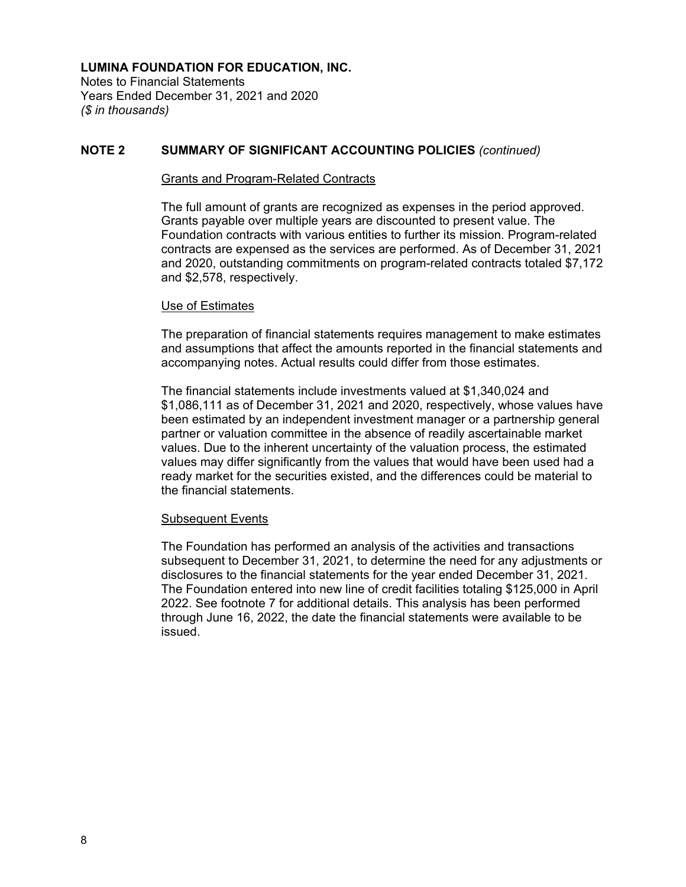Notes to Financial Statements Years Ended December 31, 2021 and 2020 *(\$ in thousands)*

### **NOTE 2 SUMMARY OF SIGNIFICANT ACCOUNTING POLICIES** *(continued)*

#### Grants and Program-Related Contracts

The full amount of grants are recognized as expenses in the period approved. Grants payable over multiple years are discounted to present value. The Foundation contracts with various entities to further its mission. Program-related contracts are expensed as the services are performed. As of December 31, 2021 and 2020, outstanding commitments on program-related contracts totaled \$7,172 and \$2,578, respectively.

#### Use of Estimates

The preparation of financial statements requires management to make estimates and assumptions that affect the amounts reported in the financial statements and accompanying notes. Actual results could differ from those estimates.

The financial statements include investments valued at \$1,340,024 and \$1,086,111 as of December 31, 2021 and 2020, respectively, whose values have been estimated by an independent investment manager or a partnership general partner or valuation committee in the absence of readily ascertainable market values. Due to the inherent uncertainty of the valuation process, the estimated values may differ significantly from the values that would have been used had a ready market for the securities existed, and the differences could be material to the financial statements.

#### Subsequent Events

The Foundation has performed an analysis of the activities and transactions subsequent to December 31, 2021, to determine the need for any adjustments or disclosures to the financial statements for the year ended December 31, 2021. The Foundation entered into new line of credit facilities totaling \$125,000 in April 2022. See footnote 7 for additional details. This analysis has been performed through June 16, 2022, the date the financial statements were available to be issued.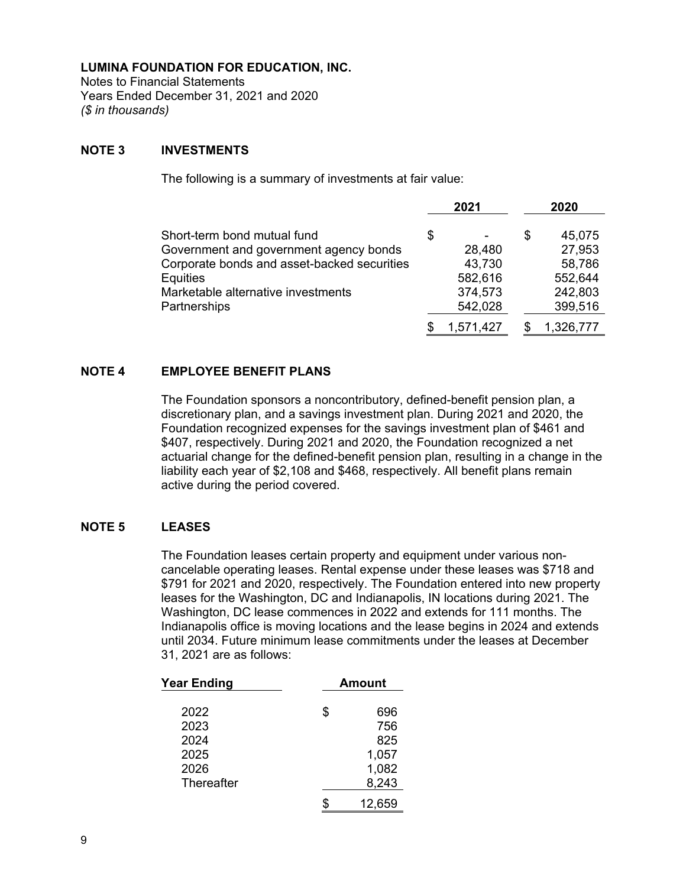Notes to Financial Statements Years Ended December 31, 2021 and 2020 *(\$ in thousands)*

### **NOTE 3 INVESTMENTS**

The following is a summary of investments at fair value:

|                                             | 2021      | 2020 |           |  |
|---------------------------------------------|-----------|------|-----------|--|
| Short-term bond mutual fund                 | \$        | \$   | 45,075    |  |
| Government and government agency bonds      | 28,480    |      | 27,953    |  |
| Corporate bonds and asset-backed securities | 43,730    |      | 58,786    |  |
| Equities                                    | 582,616   |      | 552,644   |  |
| Marketable alternative investments          | 374,573   |      | 242,803   |  |
| Partnerships                                | 542,028   |      | 399,516   |  |
|                                             | 1,571,427 |      | 1,326,777 |  |

### **NOTE 4 EMPLOYEE BENEFIT PLANS**

The Foundation sponsors a noncontributory, defined-benefit pension plan, a discretionary plan, and a savings investment plan. During 2021 and 2020, the Foundation recognized expenses for the savings investment plan of \$461 and \$407, respectively. During 2021 and 2020, the Foundation recognized a net actuarial change for the defined-benefit pension plan, resulting in a change in the liability each year of \$2,108 and \$468, respectively. All benefit plans remain active during the period covered.

### **NOTE 5 LEASES**

The Foundation leases certain property and equipment under various noncancelable operating leases. Rental expense under these leases was \$718 and \$791 for 2021 and 2020, respectively. The Foundation entered into new property leases for the Washington, DC and Indianapolis, IN locations during 2021. The Washington, DC lease commences in 2022 and extends for 111 months. The Indianapolis office is moving locations and the lease begins in 2024 and extends until 2034. Future minimum lease commitments under the leases at December 31, 2021 are as follows:

| <b>Year Ending</b> |    | <b>Amount</b> |  |  |  |  |
|--------------------|----|---------------|--|--|--|--|
|                    |    |               |  |  |  |  |
| 2022               | \$ | 696           |  |  |  |  |
| 2023               |    | 756           |  |  |  |  |
| 2024               |    | 825           |  |  |  |  |
| 2025               |    | 1,057         |  |  |  |  |
| 2026               |    | 1,082         |  |  |  |  |
| Thereafter         |    | 8,243         |  |  |  |  |
|                    | S  | 12,659        |  |  |  |  |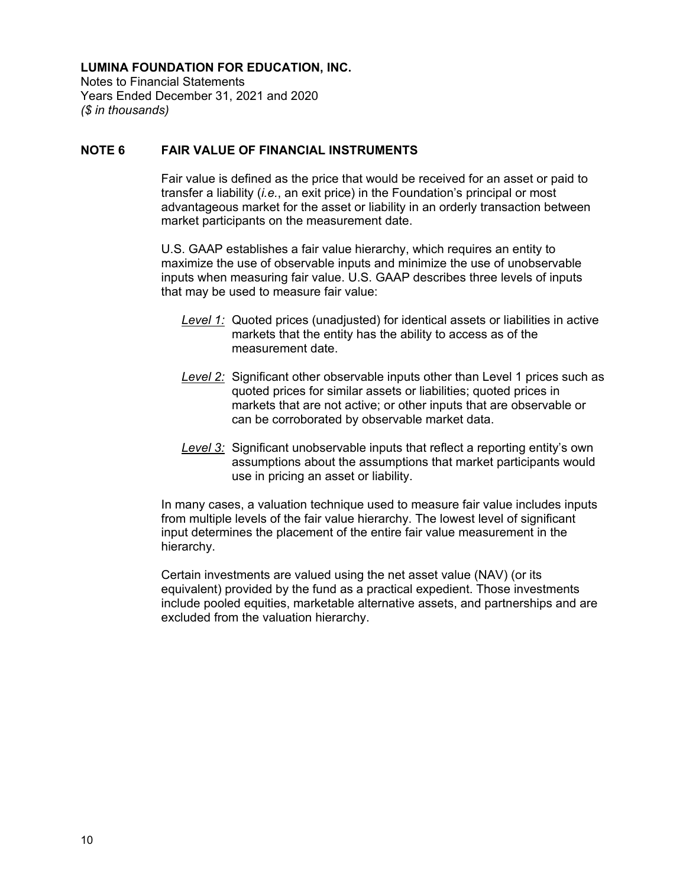Notes to Financial Statements Years Ended December 31, 2021 and 2020 *(\$ in thousands)*

### **NOTE 6 FAIR VALUE OF FINANCIAL INSTRUMENTS**

Fair value is defined as the price that would be received for an asset or paid to transfer a liability (*i.e.*, an exit price) in the Foundation's principal or most advantageous market for the asset or liability in an orderly transaction between market participants on the measurement date.

U.S. GAAP establishes a fair value hierarchy, which requires an entity to maximize the use of observable inputs and minimize the use of unobservable inputs when measuring fair value. U.S. GAAP describes three levels of inputs that may be used to measure fair value:

- *Level 1:* Quoted prices (unadjusted) for identical assets or liabilities in active markets that the entity has the ability to access as of the measurement date.
- *Level 2:* Significant other observable inputs other than Level 1 prices such as quoted prices for similar assets or liabilities; quoted prices in markets that are not active; or other inputs that are observable or can be corroborated by observable market data.
- *Level 3:* Significant unobservable inputs that reflect a reporting entity's own assumptions about the assumptions that market participants would use in pricing an asset or liability.

In many cases, a valuation technique used to measure fair value includes inputs from multiple levels of the fair value hierarchy. The lowest level of significant input determines the placement of the entire fair value measurement in the hierarchy.

Certain investments are valued using the net asset value (NAV) (or its equivalent) provided by the fund as a practical expedient. Those investments include pooled equities, marketable alternative assets, and partnerships and are excluded from the valuation hierarchy.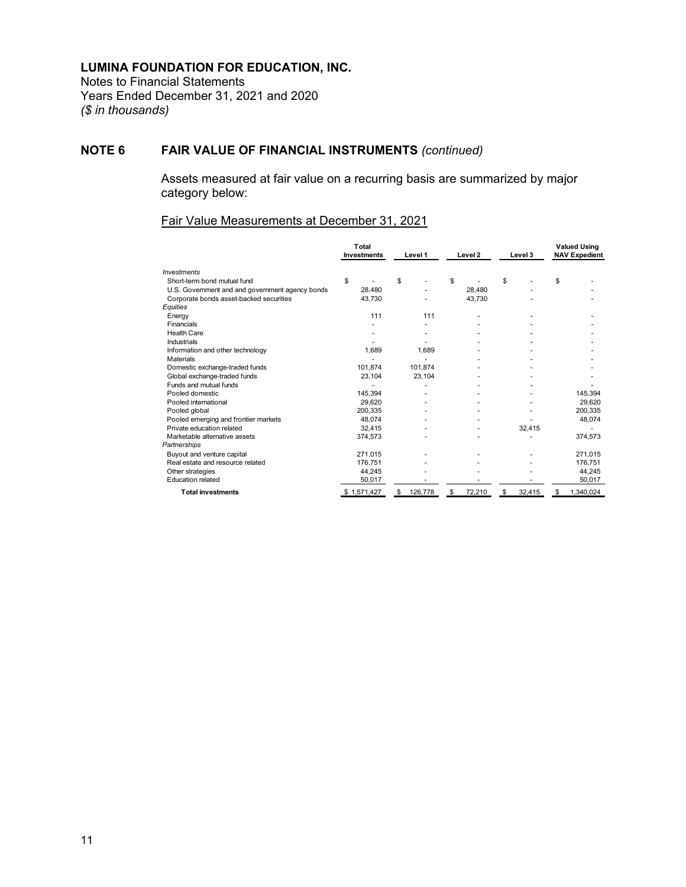Notes to Financial Statements Years Ended December 31, 2021 and 2020 *(\$ in thousands)*

# **NOTE 6 FAIR VALUE OF FINANCIAL INSTRUMENTS** *(continued)*

Assets measured at fair value on a recurring basis are summarized by major category below:

#### Fair Value Measurements at December 31, 2021

|                                                 | Total<br><b>Investments</b> | Level 1       |              | Level 3      | <b>Valued Using</b><br><b>NAV Expedient</b> |  |
|-------------------------------------------------|-----------------------------|---------------|--------------|--------------|---------------------------------------------|--|
| <b>Investments</b>                              |                             |               |              |              |                                             |  |
| Short-term bond mutual fund                     | \$                          | \$            | \$           | \$           | \$                                          |  |
| U.S. Government and and government agency bonds | 28.480                      |               | 28.480       |              |                                             |  |
| Corporate bonds asset-backed securities         | 43,730                      |               | 43,730       |              |                                             |  |
| Equities                                        |                             |               |              |              |                                             |  |
| Energy                                          | 111                         | 111           |              |              |                                             |  |
| Financials                                      |                             |               |              |              |                                             |  |
| <b>Health Care</b>                              |                             |               |              |              |                                             |  |
| Industrials                                     |                             |               |              |              |                                             |  |
| Information and other technology                | 1,689                       | 1,689         |              |              |                                             |  |
| Materials                                       |                             |               |              |              |                                             |  |
| Domestic exchange-traded funds                  | 101,874                     | 101,874       |              |              |                                             |  |
| Global exchange-traded funds                    | 23,104                      | 23,104        |              |              |                                             |  |
| Funds and mutual funds                          |                             |               |              |              |                                             |  |
| Pooled domestic                                 | 145.394                     |               |              |              | 145,394                                     |  |
| Pooled international                            | 29.620                      |               |              |              | 29,620                                      |  |
| Pooled global                                   | 200,335                     |               |              |              | 200,335                                     |  |
| Pooled emerging and frontier markets            | 48.074                      |               |              |              | 48.074                                      |  |
| Private education related                       | 32.415                      |               |              | 32,415       |                                             |  |
| Marketable alternative assets                   | 374,573                     |               |              |              | 374,573                                     |  |
| Partnerships                                    |                             |               |              |              |                                             |  |
| Buyout and venture capital                      | 271,015                     |               |              |              | 271,015                                     |  |
| Real estate and resource related                | 176.751                     |               |              |              | 176,751                                     |  |
| Other strategies                                | 44,245                      |               |              |              | 44,245                                      |  |
| <b>Education related</b>                        | 50,017                      |               |              |              | 50,017                                      |  |
| <b>Total investments</b>                        | \$1,571,427                 | 126,778<br>\$ | 72,210<br>\$ | 32,415<br>\$ | 1,340,024<br>\$                             |  |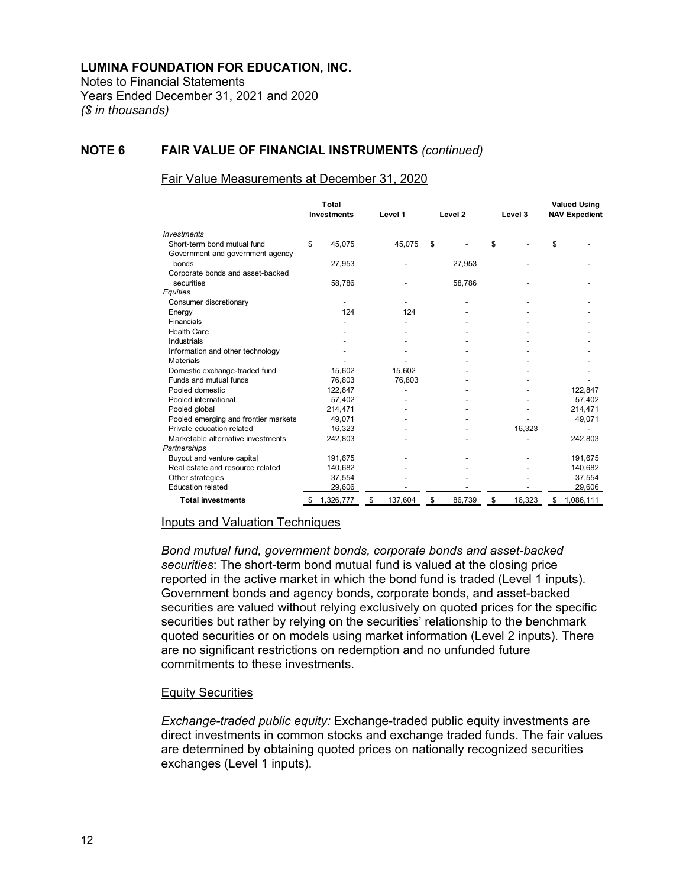Notes to Financial Statements Years Ended December 31, 2021 and 2020 *(\$ in thousands)*

## **NOTE 6 FAIR VALUE OF FINANCIAL INSTRUMENTS** *(continued)*

### Fair Value Measurements at December 31, 2020

|                                      | <b>Total</b><br><b>Investments</b> | Level 1 |         | Level <sub>2</sub> | Level 3 |        | <b>Valued Using</b><br><b>NAV Expedient</b> |           |
|--------------------------------------|------------------------------------|---------|---------|--------------------|---------|--------|---------------------------------------------|-----------|
| <b>Investments</b>                   |                                    |         |         |                    |         |        |                                             |           |
| Short-term bond mutual fund          | \$<br>45,075                       |         | 45,075  | \$                 | \$      |        | \$                                          |           |
| Government and government agency     |                                    |         |         |                    |         |        |                                             |           |
| bonds                                | 27,953                             |         |         | 27,953             |         |        |                                             |           |
| Corporate bonds and asset-backed     |                                    |         |         |                    |         |        |                                             |           |
| securities                           | 58,786                             |         |         | 58,786             |         |        |                                             |           |
| Equities                             |                                    |         |         |                    |         |        |                                             |           |
| Consumer discretionary               |                                    |         |         |                    |         |        |                                             |           |
| Energy                               | 124                                |         | 124     |                    |         |        |                                             |           |
| Financials                           |                                    |         |         |                    |         |        |                                             |           |
| <b>Health Care</b>                   |                                    |         |         |                    |         |        |                                             |           |
| Industrials                          |                                    |         |         |                    |         |        |                                             |           |
| Information and other technology     |                                    |         |         |                    |         |        |                                             |           |
| <b>Materials</b>                     |                                    |         |         |                    |         |        |                                             |           |
| Domestic exchange-traded fund        | 15.602                             |         | 15.602  |                    |         |        |                                             |           |
| Funds and mutual funds               | 76.803                             |         | 76,803  |                    |         |        |                                             |           |
| Pooled domestic                      | 122.847                            |         |         |                    |         |        |                                             | 122,847   |
| Pooled international                 | 57,402                             |         |         |                    |         |        |                                             | 57,402    |
| Pooled global                        | 214,471                            |         |         |                    |         |        |                                             | 214,471   |
| Pooled emerging and frontier markets | 49,071                             |         |         |                    |         |        |                                             | 49,071    |
| Private education related            | 16.323                             |         |         |                    |         | 16.323 |                                             |           |
| Marketable alternative investments   | 242,803                            |         |         |                    |         |        |                                             | 242,803   |
| Partnerships                         |                                    |         |         |                    |         |        |                                             |           |
| Buyout and venture capital           | 191,675                            |         |         |                    |         |        |                                             | 191,675   |
| Real estate and resource related     | 140,682                            |         |         |                    |         |        |                                             | 140,682   |
| Other strategies                     | 37,554                             |         |         |                    |         |        |                                             | 37,554    |
| <b>Education related</b>             | 29,606                             |         |         |                    |         |        |                                             | 29,606    |
| <b>Total investments</b>             | \$<br>1,326,777                    | \$      | 137,604 | \$<br>86,739       | \$      | 16,323 | \$                                          | 1,086,111 |

#### Inputs and Valuation Techniques

*Bond mutual fund, government bonds, corporate bonds and asset-backed securities*: The short-term bond mutual fund is valued at the closing price reported in the active market in which the bond fund is traded (Level 1 inputs). Government bonds and agency bonds, corporate bonds, and asset-backed securities are valued without relying exclusively on quoted prices for the specific securities but rather by relying on the securities' relationship to the benchmark quoted securities or on models using market information (Level 2 inputs). There are no significant restrictions on redemption and no unfunded future commitments to these investments.

#### Equity Securities

*Exchange-traded public equity:* Exchange-traded public equity investments are direct investments in common stocks and exchange traded funds. The fair values are determined by obtaining quoted prices on nationally recognized securities exchanges (Level 1 inputs).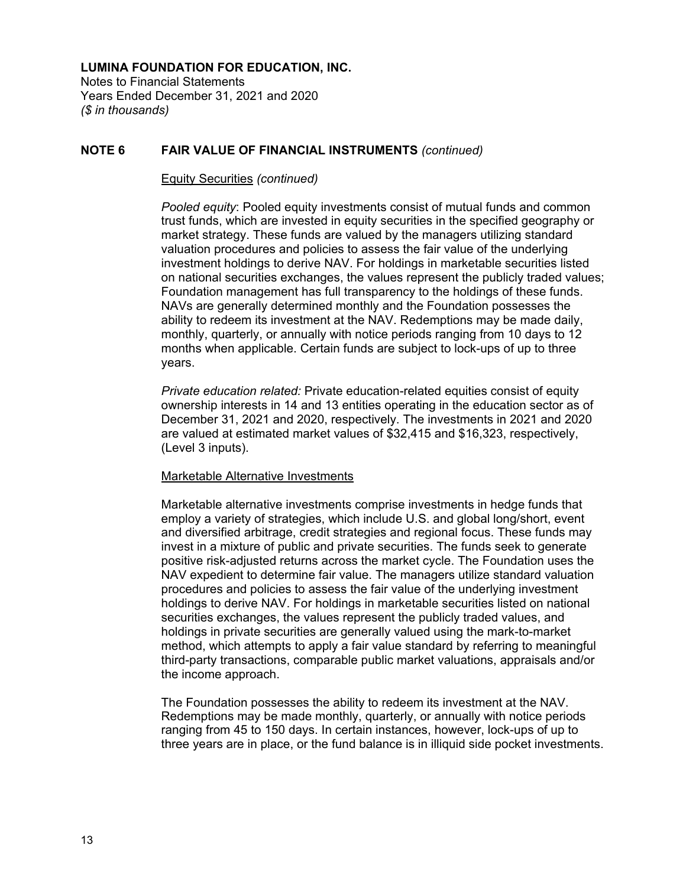Notes to Financial Statements Years Ended December 31, 2021 and 2020 *(\$ in thousands)*

### **NOTE 6 FAIR VALUE OF FINANCIAL INSTRUMENTS** *(continued)*

#### Equity Securities *(continued)*

*Pooled equity*: Pooled equity investments consist of mutual funds and common trust funds, which are invested in equity securities in the specified geography or market strategy. These funds are valued by the managers utilizing standard valuation procedures and policies to assess the fair value of the underlying investment holdings to derive NAV. For holdings in marketable securities listed on national securities exchanges, the values represent the publicly traded values; Foundation management has full transparency to the holdings of these funds. NAVs are generally determined monthly and the Foundation possesses the ability to redeem its investment at the NAV. Redemptions may be made daily, monthly, quarterly, or annually with notice periods ranging from 10 days to 12 months when applicable. Certain funds are subject to lock-ups of up to three years.

*Private education related:* Private education-related equities consist of equity ownership interests in 14 and 13 entities operating in the education sector as of December 31, 2021 and 2020, respectively. The investments in 2021 and 2020 are valued at estimated market values of \$32,415 and \$16,323, respectively, (Level 3 inputs).

#### Marketable Alternative Investments

Marketable alternative investments comprise investments in hedge funds that employ a variety of strategies, which include U.S. and global long/short, event and diversified arbitrage, credit strategies and regional focus. These funds may invest in a mixture of public and private securities. The funds seek to generate positive risk-adjusted returns across the market cycle. The Foundation uses the NAV expedient to determine fair value. The managers utilize standard valuation procedures and policies to assess the fair value of the underlying investment holdings to derive NAV. For holdings in marketable securities listed on national securities exchanges, the values represent the publicly traded values, and holdings in private securities are generally valued using the mark-to-market method, which attempts to apply a fair value standard by referring to meaningful third-party transactions, comparable public market valuations, appraisals and/or the income approach.

The Foundation possesses the ability to redeem its investment at the NAV. Redemptions may be made monthly, quarterly, or annually with notice periods ranging from 45 to 150 days. In certain instances, however, lock-ups of up to three years are in place, or the fund balance is in illiquid side pocket investments.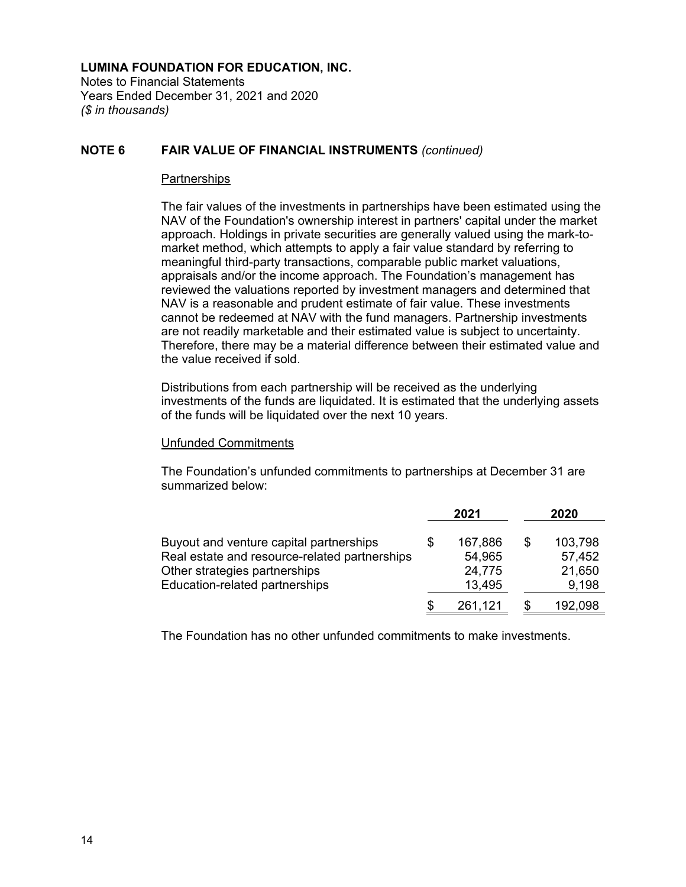Notes to Financial Statements Years Ended December 31, 2021 and 2020 *(\$ in thousands)*

### **NOTE 6 FAIR VALUE OF FINANCIAL INSTRUMENTS** *(continued)*

#### **Partnerships**

The fair values of the investments in partnerships have been estimated using the NAV of the Foundation's ownership interest in partners' capital under the market approach. Holdings in private securities are generally valued using the mark-tomarket method, which attempts to apply a fair value standard by referring to meaningful third-party transactions, comparable public market valuations, appraisals and/or the income approach. The Foundation's management has reviewed the valuations reported by investment managers and determined that NAV is a reasonable and prudent estimate of fair value. These investments cannot be redeemed at NAV with the fund managers. Partnership investments are not readily marketable and their estimated value is subject to uncertainty. Therefore, there may be a material difference between their estimated value and the value received if sold.

Distributions from each partnership will be received as the underlying investments of the funds are liquidated. It is estimated that the underlying assets of the funds will be liquidated over the next 10 years.

#### Unfunded Commitments

The Foundation's unfunded commitments to partnerships at December 31 are summarized below:

|                                                                                                                                                             | 2021                                  | 2020 |                                      |  |
|-------------------------------------------------------------------------------------------------------------------------------------------------------------|---------------------------------------|------|--------------------------------------|--|
| Buyout and venture capital partnerships<br>Real estate and resource-related partnerships<br>Other strategies partnerships<br>Education-related partnerships | 167,886<br>54,965<br>24,775<br>13,495 | S    | 103,798<br>57,452<br>21,650<br>9,198 |  |
|                                                                                                                                                             | 261,121                               |      | 192,098                              |  |

The Foundation has no other unfunded commitments to make investments.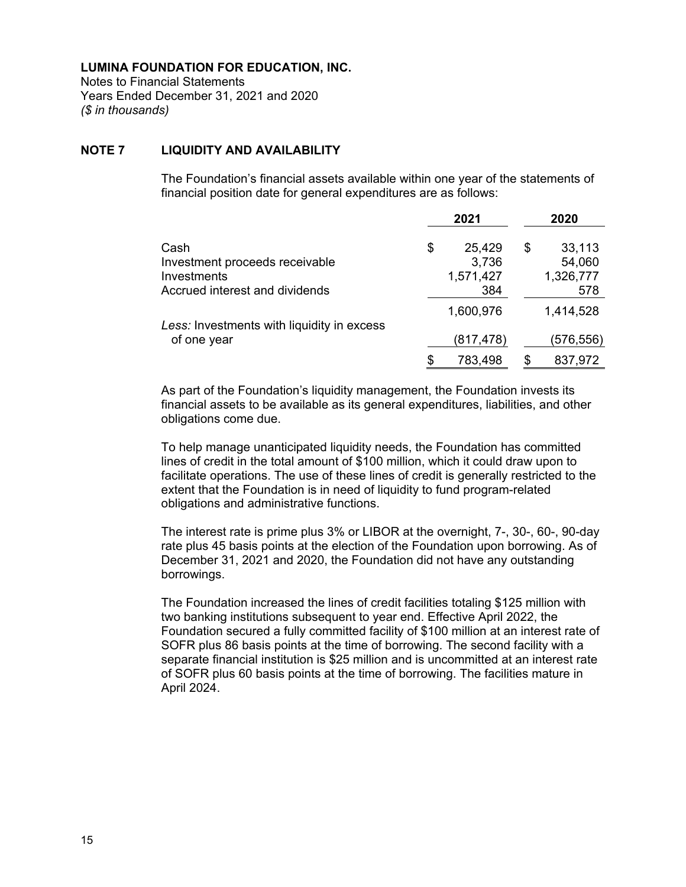Notes to Financial Statements Years Ended December 31, 2021 and 2020 *(\$ in thousands)*

## **NOTE 7 LIQUIDITY AND AVAILABILITY**

The Foundation's financial assets available within one year of the statements of financial position date for general expenditures are as follows:

|                                            |    | 2021      | 2020         |
|--------------------------------------------|----|-----------|--------------|
| Cash                                       | \$ | 25,429    | \$<br>33,113 |
| Investment proceeds receivable             |    | 3,736     | 54,060       |
| Investments                                |    | 1,571,427 | 1,326,777    |
| Accrued interest and dividends             |    | 384       | 578          |
|                                            |    | 1,600,976 | 1,414,528    |
| Less: Investments with liquidity in excess |    |           |              |
| of one year                                |    | (817,478) | (576,556)    |
|                                            | S  | 783,498   | 837,972      |

As part of the Foundation's liquidity management, the Foundation invests its financial assets to be available as its general expenditures, liabilities, and other obligations come due.

To help manage unanticipated liquidity needs, the Foundation has committed lines of credit in the total amount of \$100 million, which it could draw upon to facilitate operations. The use of these lines of credit is generally restricted to the extent that the Foundation is in need of liquidity to fund program-related obligations and administrative functions.

The interest rate is prime plus 3% or LIBOR at the overnight, 7-, 30-, 60-, 90-day rate plus 45 basis points at the election of the Foundation upon borrowing. As of December 31, 2021 and 2020, the Foundation did not have any outstanding borrowings.

The Foundation increased the lines of credit facilities totaling \$125 million with two banking institutions subsequent to year end. Effective April 2022, the Foundation secured a fully committed facility of \$100 million at an interest rate of SOFR plus 86 basis points at the time of borrowing. The second facility with a separate financial institution is \$25 million and is uncommitted at an interest rate of SOFR plus 60 basis points at the time of borrowing. The facilities mature in April 2024.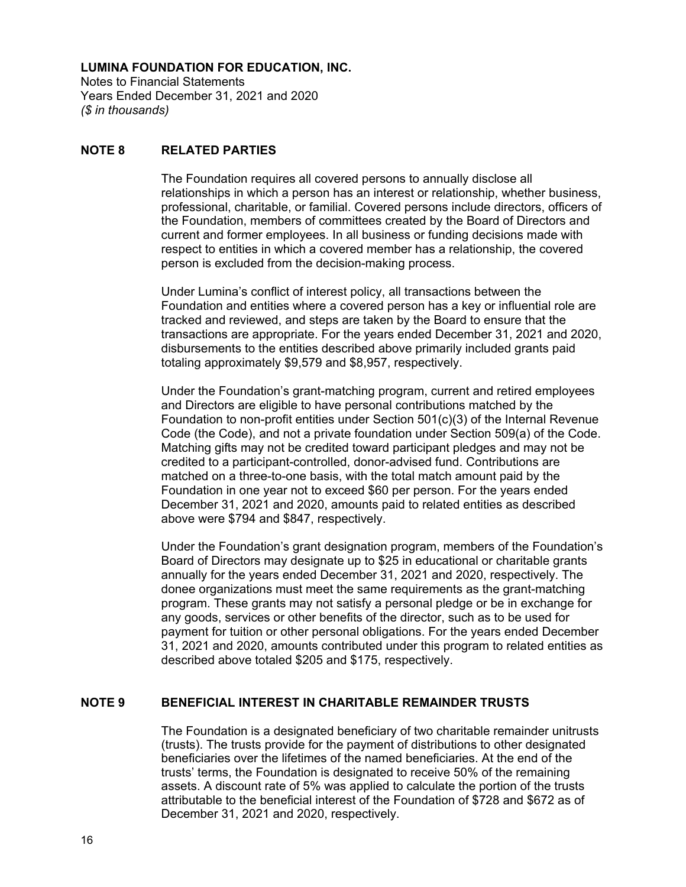Notes to Financial Statements Years Ended December 31, 2021 and 2020 *(\$ in thousands)*

### **NOTE 8 RELATED PARTIES**

The Foundation requires all covered persons to annually disclose all relationships in which a person has an interest or relationship, whether business, professional, charitable, or familial. Covered persons include directors, officers of the Foundation, members of committees created by the Board of Directors and current and former employees. In all business or funding decisions made with respect to entities in which a covered member has a relationship, the covered person is excluded from the decision-making process.

Under Lumina's conflict of interest policy, all transactions between the Foundation and entities where a covered person has a key or influential role are tracked and reviewed, and steps are taken by the Board to ensure that the transactions are appropriate. For the years ended December 31, 2021 and 2020, disbursements to the entities described above primarily included grants paid totaling approximately \$9,579 and \$8,957, respectively.

Under the Foundation's grant-matching program, current and retired employees and Directors are eligible to have personal contributions matched by the Foundation to non-profit entities under Section 501(c)(3) of the Internal Revenue Code (the Code), and not a private foundation under Section 509(a) of the Code. Matching gifts may not be credited toward participant pledges and may not be credited to a participant-controlled, donor-advised fund. Contributions are matched on a three-to-one basis, with the total match amount paid by the Foundation in one year not to exceed \$60 per person. For the years ended December 31, 2021 and 2020, amounts paid to related entities as described above were \$794 and \$847, respectively.

Under the Foundation's grant designation program, members of the Foundation's Board of Directors may designate up to \$25 in educational or charitable grants annually for the years ended December 31, 2021 and 2020, respectively. The donee organizations must meet the same requirements as the grant-matching program. These grants may not satisfy a personal pledge or be in exchange for any goods, services or other benefits of the director, such as to be used for payment for tuition or other personal obligations. For the years ended December 31, 2021 and 2020, amounts contributed under this program to related entities as described above totaled \$205 and \$175, respectively.

### **NOTE 9 BENEFICIAL INTEREST IN CHARITABLE REMAINDER TRUSTS**

The Foundation is a designated beneficiary of two charitable remainder unitrusts (trusts). The trusts provide for the payment of distributions to other designated beneficiaries over the lifetimes of the named beneficiaries. At the end of the trusts' terms, the Foundation is designated to receive 50% of the remaining assets. A discount rate of 5% was applied to calculate the portion of the trusts attributable to the beneficial interest of the Foundation of \$728 and \$672 as of December 31, 2021 and 2020, respectively.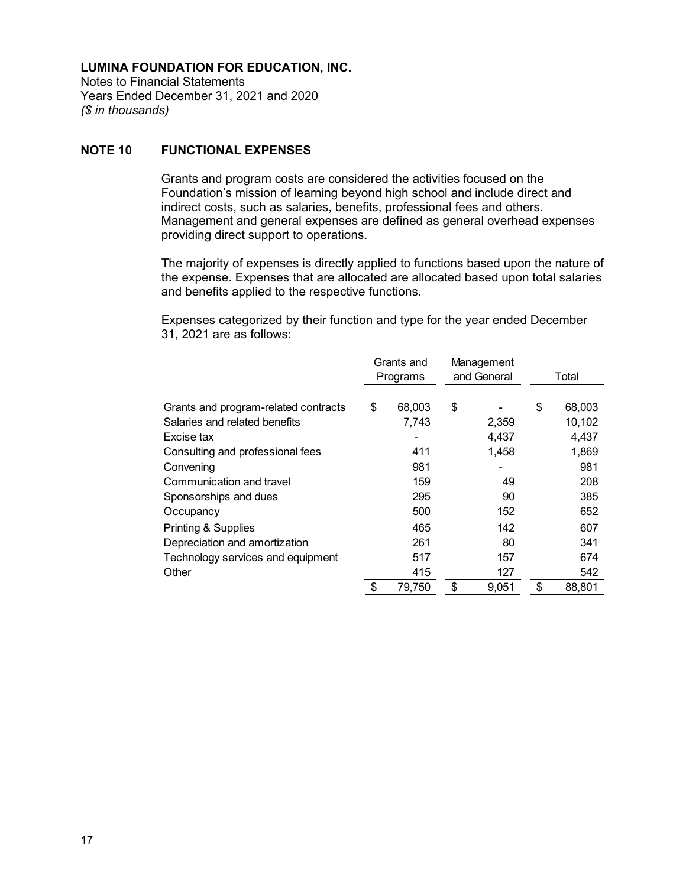Notes to Financial Statements Years Ended December 31, 2021 and 2020 *(\$ in thousands)*

## **NOTE 10 FUNCTIONAL EXPENSES**

Grants and program costs are considered the activities focused on the Foundation's mission of learning beyond high school and include direct and indirect costs, such as salaries, benefits, professional fees and others. Management and general expenses are defined as general overhead expenses providing direct support to operations.

The majority of expenses is directly applied to functions based upon the nature of the expense. Expenses that are allocated are allocated based upon total salaries and benefits applied to the respective functions.

Expenses categorized by their function and type for the year ended December 31, 2021 are as follows:

|                                      | Grants and |        | Management<br>and General<br>Programs |       | Total        |
|--------------------------------------|------------|--------|---------------------------------------|-------|--------------|
|                                      |            |        |                                       |       |              |
| Grants and program-related contracts | \$         | 68,003 | \$                                    |       | \$<br>68,003 |
| Salaries and related benefits        |            | 7,743  |                                       | 2,359 | 10,102       |
| Excise tax                           |            |        |                                       | 4,437 | 4,437        |
| Consulting and professional fees     |            | 411    |                                       | 1,458 | 1,869        |
| Convening                            |            | 981    |                                       |       | 981          |
| Communication and travel             |            | 159    |                                       | 49    | 208          |
| Sponsorships and dues                |            | 295    |                                       | 90    | 385          |
| Occupancy                            |            | 500    |                                       | 152   | 652          |
| <b>Printing &amp; Supplies</b>       |            | 465    |                                       | 142   | 607          |
| Depreciation and amortization        |            | 261    |                                       | 80    | 341          |
| Technology services and equipment    |            | 517    |                                       | 157   | 674          |
| Other                                |            | 415    |                                       | 127   | 542          |
|                                      | \$         | 79,750 | \$                                    | 9.051 | \$<br>88,801 |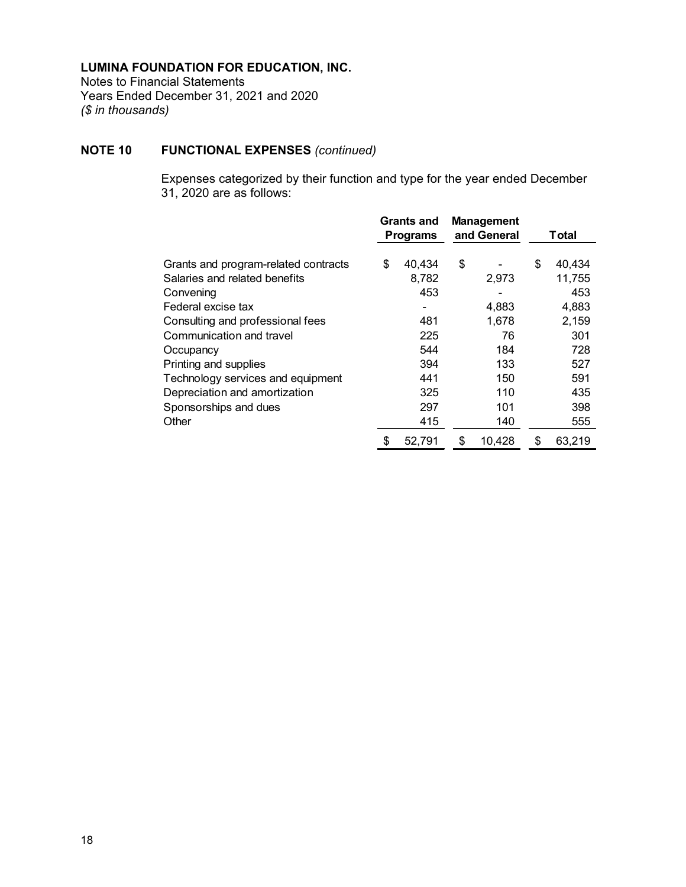Notes to Financial Statements Years Ended December 31, 2021 and 2020 *(\$ in thousands)*

# **NOTE 10 FUNCTIONAL EXPENSES** *(continued)*

Expenses categorized by their function and type for the year ended December 31, 2020 are as follows:

|                                      | <b>Grants and</b><br><b>Programs</b> |    | <b>Management</b><br>and General |    | <b>T</b> otal |
|--------------------------------------|--------------------------------------|----|----------------------------------|----|---------------|
|                                      |                                      |    |                                  |    |               |
| Grants and program-related contracts | \$<br>40,434                         | \$ |                                  | \$ | 40,434        |
| Salaries and related benefits        | 8,782                                |    | 2,973                            |    | 11,755        |
| Convening                            | 453                                  |    |                                  |    | 453           |
| Federal excise tax                   |                                      |    | 4,883                            |    | 4,883         |
| Consulting and professional fees     | 481                                  |    | 1,678                            |    | 2,159         |
| Communication and travel             | 225                                  |    | 76                               |    | 301           |
| Occupancy                            | 544                                  |    | 184                              |    | 728           |
| Printing and supplies                | 394                                  |    | 133                              |    | 527           |
| Technology services and equipment    | 441                                  |    | 150                              |    | 591           |
| Depreciation and amortization        | 325                                  |    | 110                              |    | 435           |
| Sponsorships and dues                | 297                                  |    | 101                              |    | 398           |
| Other                                | 415                                  |    | 140                              |    | 555           |
|                                      | \$<br>52,791                         | \$ | 10,428                           | \$ | 63.219        |